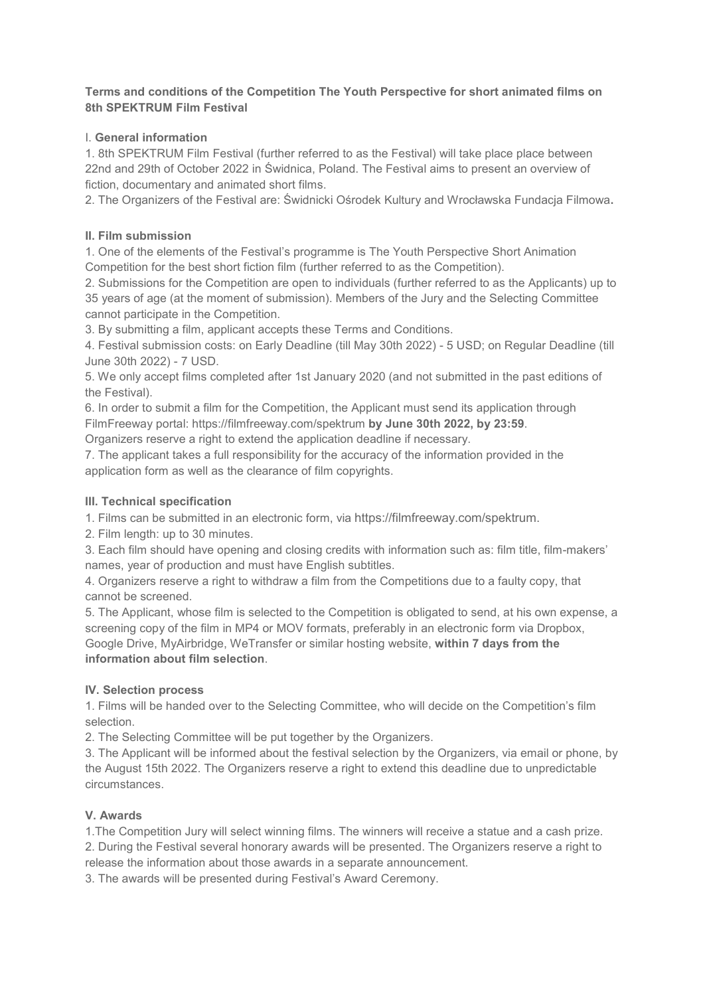#### **Terms and conditions of the Competition The Youth Perspective for short animated films on 8th SPEKTRUM Film Festival**

## I. **General information**

1. 8th SPEKTRUM Film Festival (further referred to as the Festival) will take place place between 22nd and 29th of October 2022 in Świdnica, Poland. The Festival aims to present an overview of fiction, documentary and animated short films.

2. The Organizers of the Festival are: Świdnicki Ośrodek Kultury and Wrocławska Fundacja Filmowa**.** 

# **II. Film submission**

1. One of the elements of the Festival's programme is The Youth Perspective Short Animation Competition for the best short fiction film (further referred to as the Competition).

2. Submissions for the Competition are open to individuals (further referred to as the Applicants) up to 35 years of age (at the moment of submission). Members of the Jury and the Selecting Committee cannot participate in the Competition.

3. By submitting a film, applicant accepts these Terms and Conditions.

4. Festival submission costs: on Early Deadline (till May 30th 2022) - 5 USD; on Regular Deadline (till June 30th 2022) - 7 USD.

5. We only accept films completed after 1st January 2020 (and not submitted in the past editions of the Festival).

6. In order to submit a film for the Competition, the Applicant must send its application through FilmFreeway portal: https://filmfreeway.com/spektrum **by June 30th 2022, by 23:59**.

Organizers reserve a right to extend the application deadline if necessary.

7. The applicant takes a full responsibility for the accuracy of the information provided in the application form as well as the clearance of film copyrights.

# **III. Technical specification**

1. Films can be submitted in an electronic form, via https://filmfreeway.com/spektrum.

2. Film length: up to 30 minutes.

3. Each film should have opening and closing credits with information such as: film title, film-makers' names, year of production and must have English subtitles.

4. Organizers reserve a right to withdraw a film from the Competitions due to a faulty copy, that cannot be screened.

5. The Applicant, whose film is selected to the Competition is obligated to send, at his own expense, a screening copy of the film in MP4 or MOV formats, preferably in an electronic form via Dropbox, Google Drive, MyAirbridge, WeTransfer or similar hosting website, **within 7 days from the information about film selection**.

## **IV. Selection process**

1. Films will be handed over to the Selecting Committee, who will decide on the Competition's film selection.

2. The Selecting Committee will be put together by the Organizers.

3. The Applicant will be informed about the festival selection by the Organizers, via email or phone, by the August 15th 2022. The Organizers reserve a right to extend this deadline due to unpredictable circumstances.

## **V. Awards**

1.The Competition Jury will select winning films. The winners will receive a statue and a cash prize. 2. During the Festival several honorary awards will be presented. The Organizers reserve a right to release the information about those awards in a separate announcement.

3. The awards will be presented during Festival's Award Ceremony.